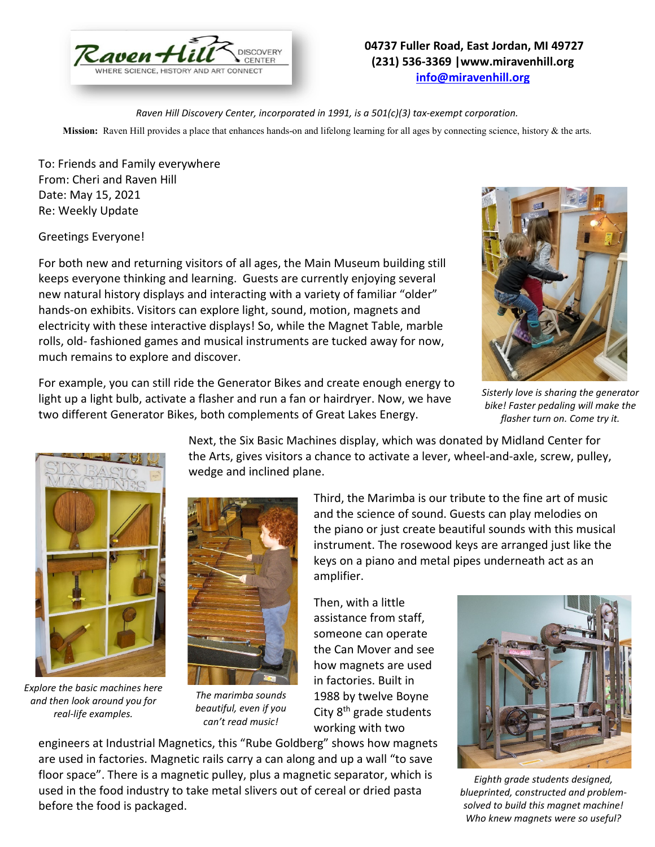

## **04737 Fuller Road, East Jordan, MI 49727 (231) 536-3369 |www.miravenhill.org [info@miravenhill.org](mailto:info@miravenhill.org)**

*Raven Hill Discovery Center, incorporated in 1991, is a 501(c)(3) tax-exempt corporation.*

**Mission:** Raven Hill provides a place that enhances hands-on and lifelong learning for all ages by connecting science, history & the arts.

To: Friends and Family everywhere From: Cheri and Raven Hill Date: May 15, 2021 Re: Weekly Update

Greetings Everyone!

For both new and returning visitors of all ages, the Main Museum building still keeps everyone thinking and learning. Guests are currently enjoying several new natural history displays and interacting with a variety of familiar "older" hands-on exhibits. Visitors can explore light, sound, motion, magnets and electricity with these interactive displays! So, while the Magnet Table, marble rolls, old- fashioned games and musical instruments are tucked away for now, much remains to explore and discover.





*Sisterly love is sharing the generator bike! Faster pedaling will make the flasher turn on. Come try it.*



*Explore the basic machines here and then look around you for real-life examples.*

before the food is packaged.



*The marimba sounds beautiful, even if you can't read music!* 

are used in factories. Magnetic rails carry a can along and up a wall "to save floor space". There is a magnetic pulley, plus a magnetic separator, which is used in the food industry to take metal slivers out of cereal or dried pasta

the Arts, gives visitors a chance to activate a lever, wheel-and-axle, screw, pulley, wedge and inclined plane. Third, the Marimba is our tribute to the fine art of music and the science of sound. Guests can play melodies on

Next, the Six Basic Machines display, which was donated by Midland Center for

the piano or just create beautiful sounds with this musical instrument. The rosewood keys are arranged just like the keys on a piano and metal pipes underneath act as an amplifier.

Then, with a little assistance from staff, someone can operate the Can Mover and see how magnets are used in factories. Built in 1988 by twelve Boyne City 8<sup>th</sup> grade students working with two engineers at Industrial Magnetics, this "Rube Goldberg" shows how magnets



*Eighth grade students designed, blueprinted, constructed and problemsolved to build this magnet machine! Who knew magnets were so useful?*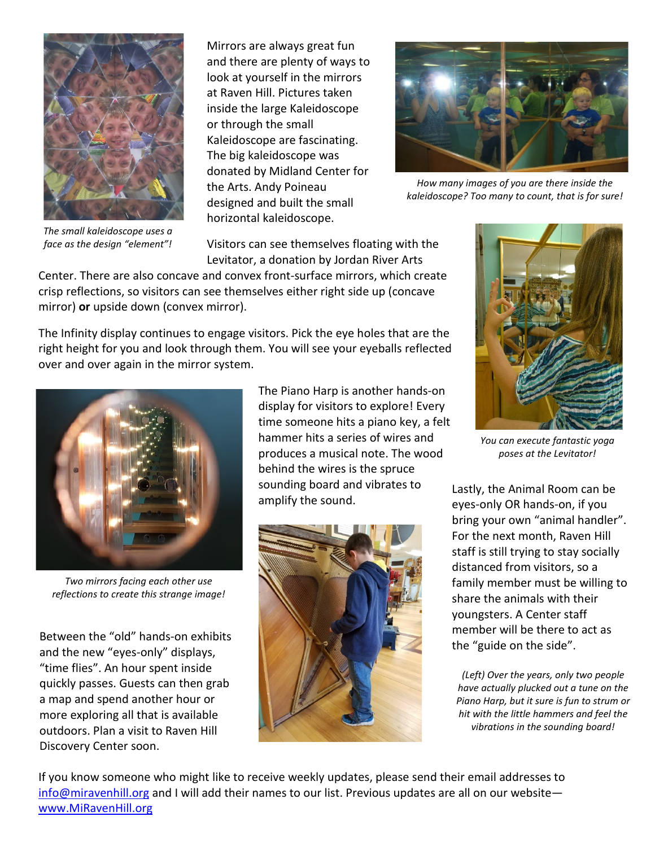

*The small kaleidoscope uses a face as the design "element"!*

Mirrors are always great fun and there are plenty of ways to look at yourself in the mirrors at Raven Hill. Pictures taken inside the large Kaleidoscope or through the small Kaleidoscope are fascinating. The big kaleidoscope was donated by Midland Center for the Arts. Andy Poineau designed and built the small horizontal kaleidoscope.



*How many images of you are there inside the kaleidoscope? Too many to count, that is for sure!*

Visitors can see themselves floating with the Levitator, a donation by Jordan River Arts

Center. There are also concave and convex front-surface mirrors, which create crisp reflections, so visitors can see themselves either right side up (concave mirror) **or** upside down (convex mirror).

The Infinity display continues to engage visitors. Pick the eye holes that are the right height for you and look through them. You will see your eyeballs reflected over and over again in the mirror system.



*Two mirrors facing each other use reflections to create this strange image!*

Between the "old" hands-on exhibits and the new "eyes-only" displays, "time flies". An hour spent inside quickly passes. Guests can then grab a map and spend another hour or more exploring all that is available outdoors. Plan a visit to Raven Hill Discovery Center soon.

The Piano Harp is another hands-on display for visitors to explore! Every time someone hits a piano key, a felt hammer hits a series of wires and produces a musical note. The wood behind the wires is the spruce sounding board and vibrates to amplify the sound.





*You can execute fantastic yoga poses at the Levitator!*

Lastly, the Animal Room can be eyes-only OR hands-on, if you bring your own "animal handler". For the next month, Raven Hill staff is still trying to stay socially distanced from visitors, so a family member must be willing to share the animals with their youngsters. A Center staff member will be there to act as the "guide on the side".

*(Left) Over the years, only two people have actually plucked out a tune on the Piano Harp, but it sure is fun to strum or hit with the little hammers and feel the vibrations in the sounding board!*

If you know someone who might like to receive weekly updates, please send their email addresses to [info@miravenhill.org](mailto:info@miravenhill.org) and I will add their names to our list. Previous updates are all on our website www.MiRavenHill.org